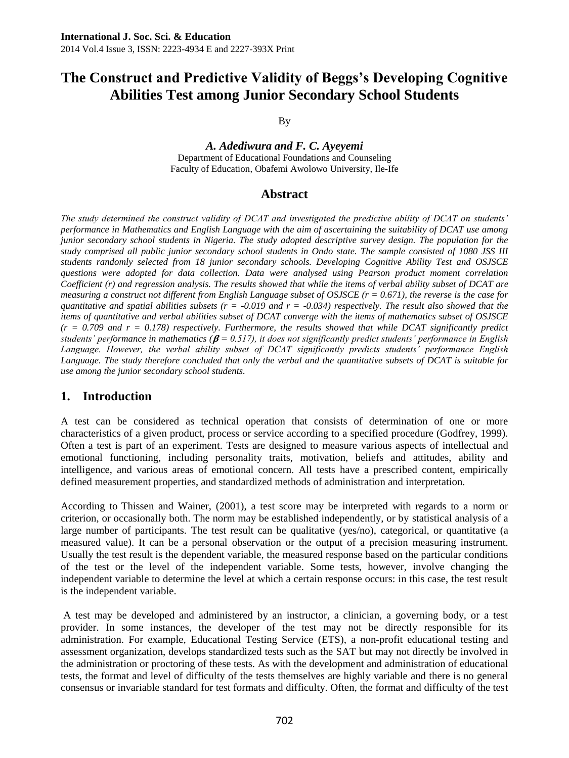By

*A. Adediwura and F. C. Ayeyemi* Department of Educational Foundations and Counseling Faculty of Education, Obafemi Awolowo University, Ile-Ife

### **Abstract**

*The study determined the construct validity of DCAT and investigated the predictive ability of DCAT on students' performance in Mathematics and English Language with the aim of ascertaining the suitability of DCAT use among junior secondary school students in Nigeria. The study adopted descriptive survey design. The population for the study comprised all public junior secondary school students in Ondo state. The sample consisted of 1080 JSS III students randomly selected from 18 junior secondary schools. Developing Cognitive Ability Test and OSJSCE questions were adopted for data collection. Data were analysed using Pearson product moment correlation Coefficient (r) and regression analysis. The results showed that while the items of verbal ability subset of DCAT are measuring a construct not different from English Language subset of OSJSCE (r = 0.671), the reverse is the case for quantitative and spatial abilities subsets (r =*  $-0.019$  *and r =*  $-0.034$ *) respectively. The result also showed that the items of quantitative and verbal abilities subset of DCAT converge with the items of mathematics subset of OSJSCE*   $(r = 0.709$  and  $r = 0.178$ ) respectively. Furthermore, the results showed that while DCAT significantly predict *students' performance in mathematics (* $\beta$  = 0.517), *it does not significantly predict students' performance in English Language. However, the verbal ability subset of DCAT significantly predicts students' performance English Language. The study therefore concluded that only the verbal and the quantitative subsets of DCAT is suitable for use among the junior secondary school students.*

# **1. Introduction**

A test can be considered as technical operation that consists of determination of one or more characteristics of a given product, process or service according to a specified procedure (Godfrey, 1999). Often a test is part of an [experiment.](http://en.wikipedia.org/wiki/Experiment) Tests are designed to measure various aspects of intellectual and emotional functioning, including personality traits, motivation, beliefs and attitudes, ability and intelligence, and various areas of emotional concern. All tests have a prescribed content, empirically defined measurement properties, and standardized methods of administration and interpretation.

According to Thissen and Wainer, (2001), a test score may be interpreted with regards to a [norm](http://en.wikipedia.org/wiki/Norm-referenced_test) or [criterion,](http://en.wikipedia.org/wiki/Criterion-referenced_test) or occasionally both. The norm may be established independently, or by [statistical](http://en.wikipedia.org/wiki/Statistics) analysis of a large number of participants. The test result can be [qualitative](http://en.wikipedia.org/wiki/Qualitative_data) (yes/no), [categorical,](http://en.wikipedia.org/wiki/Categorical) or [quantitative](http://en.wikipedia.org/wiki/Quantitative) (a measured value). It can be a personal [observation](http://en.wikipedia.org/wiki/Observation) or the output of a precision [measuring instrument.](http://en.wikipedia.org/wiki/Measuring_instrument) Usually the test result is the [dependent variable,](http://en.wikipedia.org/wiki/Dependent_variable) the measured response based on the particular conditions of the test or the level of the [independent variable.](http://en.wikipedia.org/wiki/Independent_variable) Some tests, however, involve changing the independent variable to determine the level at which a certain response occurs: in this case, the test result is the independent variable.

A test may be developed and administered by an instructor, a clinician, a governing body, or a test provider. In some instances, the developer of the test may not be directly responsible for its administration. For example, [Educational Testing Service](http://en.wikipedia.org/wiki/Educational_Testing_Service) (ETS), a non-profit educational testing and assessment organization, develops standardized tests such as the [SAT](http://en.wikipedia.org/wiki/SAT) but may not directly be involved in the administration or proctoring of these tests. As with the development and administration of educational tests, the format and level of difficulty of the tests themselves are highly variable and there is no general consensus or invariable standard for test formats and difficulty. Often, the format and difficulty of the test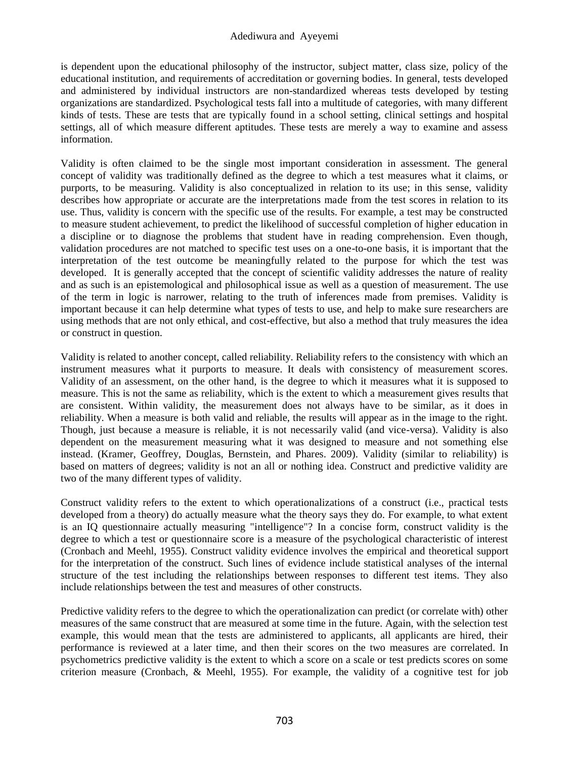is dependent upon the educational philosophy of the instructor, subject matter, class size, policy of the educational institution, and requirements of accreditation or governing bodies. In general, tests developed and administered by individual instructors are non-standardized whereas tests developed by testing organizations are standardized. Psychological tests fall into a multitude of categories, with many different kinds of tests. These are tests that are typically found in a school setting, clinical settings and hospital settings, all of which measure different aptitudes. These tests are merely a way to examine and assess information.

Validity is often claimed to be the single most important consideration in assessment. The general concept of validity was traditionally defined as the degree to which a test measures what it claims, or purports, to be measuring. Validity is also conceptualized in relation to its use; in this sense, validity describes how appropriate or accurate are the interpretations made from the test scores in relation to its use. Thus, validity is concern with the specific use of the results. For example, a test may be constructed to measure student achievement, to predict the likelihood of successful completion of higher education in a discipline or to diagnose the problems that student have in reading comprehension. Even though, validation procedures are not matched to specific test uses on a one-to-one basis, it is important that the interpretation of the test outcome be meaningfully related to the purpose for which the test was developed. It is generally accepted that the concept of scientific validity addresses the nature of reality and as such is an [epistemological](http://en.wikipedia.org/wiki/Epistemological) and [philosophical](http://en.wikipedia.org/wiki/Philosophical) issue as well as a question of [measurement.](http://en.wikipedia.org/wiki/Measurement) The use of the term in [logic](http://en.wikipedia.org/wiki/Validity_%28logic%29) is narrower, relating to the truth of inferences made from premises. Validity is important because it can help determine what types of tests to use, and help to make sure researchers are using methods that are not only ethical, and cost-effective, but also a method that truly measures the idea or construct in question.

Validity is related to another concept, called reliability. Reliability refers to the consistency with which an instrument measures what it purports to measure. It deals with consistency of measurement scores. Validity of an assessment, on the other hand, is the degree to which it measures what it is supposed to measure. This is not the same as [reliability,](http://en.wikipedia.org/wiki/Reliability_%28statistics%29) which is the extent to which a measurement gives results that are consistent. Within validity, the measurement does not always have to be similar, as it does in reliability. When a measure is both valid and reliable, the results will appear as in the image to the right. Though, just because a measure is reliable, it is not necessarily valid (and vice-versa). Validity is also dependent on the measurement measuring what it was designed to measure and not something else instead. (Kramer, Geoffrey, Douglas, Bernstein, and Phares. 2009). Validity (similar to reliability) is based on matters of degrees; validity is not an all or nothing idea. Construct and predictive validity are two of the many different types of validity.

Construct [validity](http://en.wikipedia.org/wiki/Construct_validity) refers to the extent to which operationalizations of a construct (i.e., practical tests developed from a theory) do actually measure what the theory says they do. For example, to what extent is an IQ questionnaire actually measuring "intelligence"? In a concise form, construct validity is the degree to which a test or questionnaire score is a measure of the psychological characteristic of interest (Cronbach and Meehl, 1955). Construct validity evidence involves the empirical and theoretical support for the interpretation of the construct. Such lines of evidence include statistical analyses of the internal structure of the test including the relationships between responses to different test items. They also include relationships between the test and measures of other constructs.

[Predictive validity](http://en.wikipedia.org/wiki/Predictive_validity) refers to the degree to which the operationalization can predict (or correlate with) other measures of the same construct that are measured at some time in the future. Again, with the selection test example, this would mean that the tests are administered to applicants, all applicants are hired, their performance is reviewed at a later time, and then their scores on the two measures are correlated. In psychometrics predictive validity is the extent to which a score on a scale or test predicts scores on some criterion measure (Cronbach, & Meehl, 1955). For example, the validity of a cognitive test for job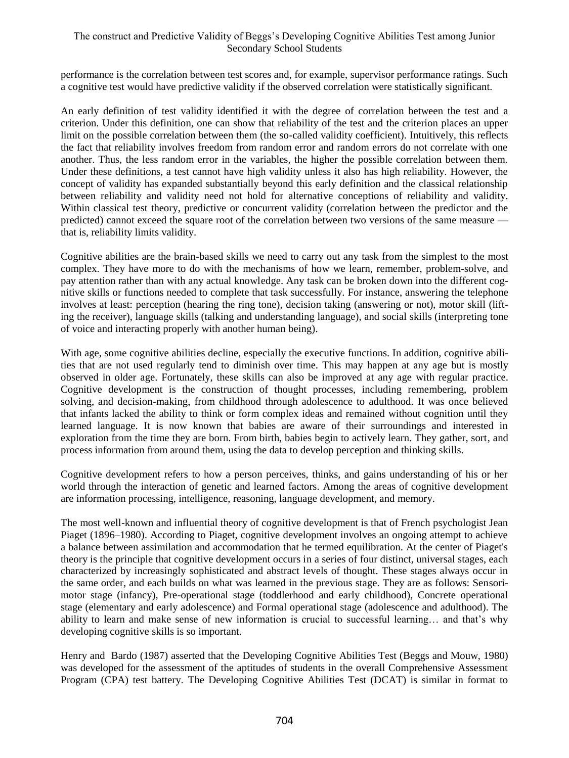performance is the correlation between test scores and, for example, supervisor performance ratings. Such a cognitive test would have predictive validity if the observed correlation were statistically significant.

An early definition of test validity identified it with the degree of correlation between the test and a criterion. Under this definition, one can show that reliability of the test and the criterion places an upper limit on the possible correlation between them (the so-called validity coefficient). Intuitively, this reflects the fact that reliability involves freedom from random error and random errors do not correlate with one another. Thus, the less random error in the variables, the higher the possible correlation between them. Under these definitions, a test cannot have high validity unless it also has high reliability. However, the concept of validity has expanded substantially beyond this early definition and the classical relationship between reliability and validity need not hold for alternative conceptions of reliability and validity. Within [classical test theory,](http://en.wikipedia.org/wiki/Classical_test_theory) predictive or concurrent validity (correlation between the predictor and the predicted) cannot exceed the square root of the [correlation](http://en.wikipedia.org/wiki/Correlation) between two versions of the same measure that is, reliability limits validity.

Cognitive abilities are the brain-based skills we need to carry out any task from the simplest to the most complex. They have more to do with the mechanisms of how we learn, remember, problem-solve, and pay attention rather than with any actual knowledge. Any task can be broken down into the different cognitive skills or functions needed to complete that task successfully. For instance, answering the telephone involves at least: perception (hearing the ring tone), decision taking (answering or not), motor skill (lifting the receiver), language skills (talking and understanding language), and social skills (interpreting tone of voice and interacting properly with another human being).

With age, some cognitive abilities decline, especially the executive functions. In addition, cognitive abilities that are not used regularly tend to diminish over time. This may happen at any age but is mostly observed in older age. Fortunately, these skills can also be improved at any age with regular practice. Cognitive development is the construction of thought processes, including remembering, problem solving, and decision-making, from childhood through adolescence to adulthood. It was once believed that infants lacked the ability to think or form complex ideas and remained without cognition until they learned language. It is now known that babies are aware of their surroundings and interested in exploration from the time they are born. From birth, babies begin to actively learn. They gather, sort, and process information from around them, using the data to develop perception and thinking skills.

Cognitive development refers to how a person perceives, thinks, and gains understanding of his or her world through the interaction of genetic and learned factors. Among the areas of cognitive development are information processing, intelligence, reasoning, language development, and memory.

The most well-known and influential theory of cognitive development is that of French psychologist Jean Piaget (1896–1980). According to Piaget, cognitive development involves an ongoing attempt to achieve a balance between assimilation and accommodation that he termed equilibration. At the center of Piaget's theory is the principle that cognitive development occurs in a series of four distinct, universal stages, each characterized by increasingly sophisticated and abstract levels of thought. These stages always occur in the same order, and each builds on what was learned in the previous stage. They are as follows: Sensorimotor stage (infancy), Pre-operational stage (toddlerhood and early childhood), Concrete operational stage (elementary and early adolescence) and Formal operational stage (adolescence and adulthood). The ability to learn and make sense of new information is crucial to successful learning… and that's why developing cognitive skills is so important.

[Henry](http://epm.sagepub.com/search?author1=Paul+Henry&sortspec=date&submit=Submit) and [Bardo](http://epm.sagepub.com/search?author1=Harold+R.+Bardo&sortspec=date&submit=Submit) (1987) asserted that the Developing Cognitive Abilities Test (Beggs and Mouw, 1980) was developed for the assessment of the aptitudes of students in the overall Comprehensive Assessment Program (CPA) test battery. The Developing Cognitive Abilities Test (DCAT) is similar in format to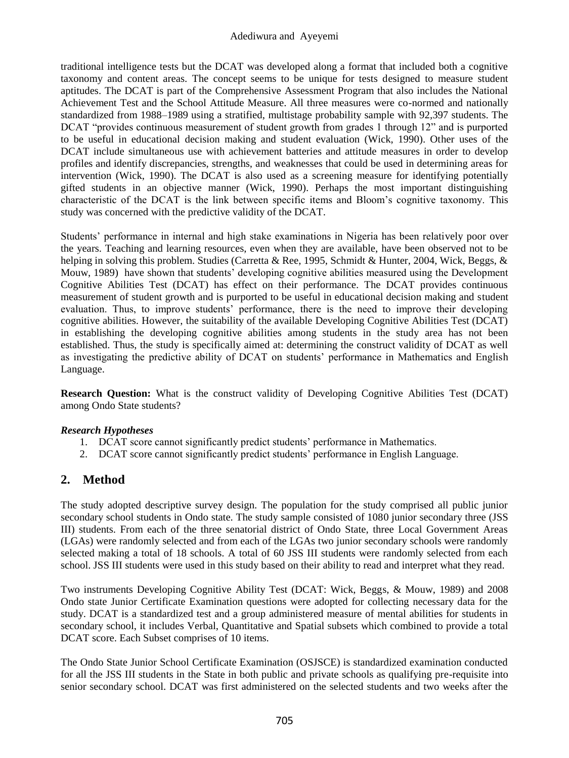traditional intelligence tests but the DCAT was developed along a format that included both a cognitive taxonomy and content areas. The concept seems to be unique for tests designed to measure student aptitudes. The DCAT is part of the Comprehensive Assessment Program that also includes the National Achievement Test and the School Attitude Measure. All three measures were co-normed and nationally standardized from 1988–1989 using a stratified, multistage probability sample with 92,397 students. The DCAT "provides continuous measurement of student growth from grades 1 through 12" and is purported to be useful in educational decision making and student evaluation (Wick, 1990). Other uses of the DCAT include simultaneous use with achievement batteries and attitude measures in order to develop profiles and identify discrepancies, strengths, and weaknesses that could be used in determining areas for intervention (Wick, 1990). The DCAT is also used as a screening measure for identifying potentially gifted students in an objective manner (Wick, 1990). Perhaps the most important distinguishing characteristic of the DCAT is the link between specific items and Bloom's cognitive taxonomy. This study was concerned with the predictive validity of the DCAT.

Students' performance in internal and high stake examinations in Nigeria has been relatively poor over the years. Teaching and learning resources, even when they are available, have been observed not to be helping in solving this problem. Studies (Carretta & Ree, 1995, Schmidt & Hunter, 2004, Wick, Beggs, & Mouw, 1989) have shown that students' developing cognitive abilities measured using the Development Cognitive Abilities Test (DCAT) has effect on their performance. The DCAT provides continuous measurement of student growth and is purported to be useful in educational decision making and student evaluation. Thus, to improve students' performance, there is the need to improve their developing cognitive abilities. However, the suitability of the available Developing Cognitive Abilities Test (DCAT) in establishing the developing cognitive abilities among students in the study area has not been established. Thus, the study is specifically aimed at: determining the construct validity of DCAT as well as investigating the predictive ability of DCAT on students' performance in Mathematics and English Language.

**Research Question:** What is the construct validity of Developing Cognitive Abilities Test (DCAT) among Ondo State students?

#### *Research Hypotheses*

- 1. DCAT score cannot significantly predict students' performance in Mathematics.
- 2. DCAT score cannot significantly predict students' performance in English Language.

# **2. Method**

The study adopted descriptive survey design. The population for the study comprised all public junior secondary school students in Ondo state. The study sample consisted of 1080 junior secondary three (JSS III) students. From each of the three senatorial district of Ondo State, three Local Government Areas (LGAs) were randomly selected and from each of the LGAs two junior secondary schools were randomly selected making a total of 18 schools. A total of 60 JSS III students were randomly selected from each school. JSS III students were used in this study based on their ability to read and interpret what they read.

Two instruments Developing Cognitive Ability Test (DCAT: Wick, Beggs, & Mouw, 1989) and 2008 Ondo state Junior Certificate Examination questions were adopted for collecting necessary data for the study. DCAT is a standardized test and a group administered measure of mental abilities for students in secondary school, it includes Verbal, Quantitative and Spatial subsets which combined to provide a total DCAT score. Each Subset comprises of 10 items.

The Ondo State Junior School Certificate Examination (OSJSCE) is standardized examination conducted for all the JSS III students in the State in both public and private schools as qualifying pre-requisite into senior secondary school. DCAT was first administered on the selected students and two weeks after the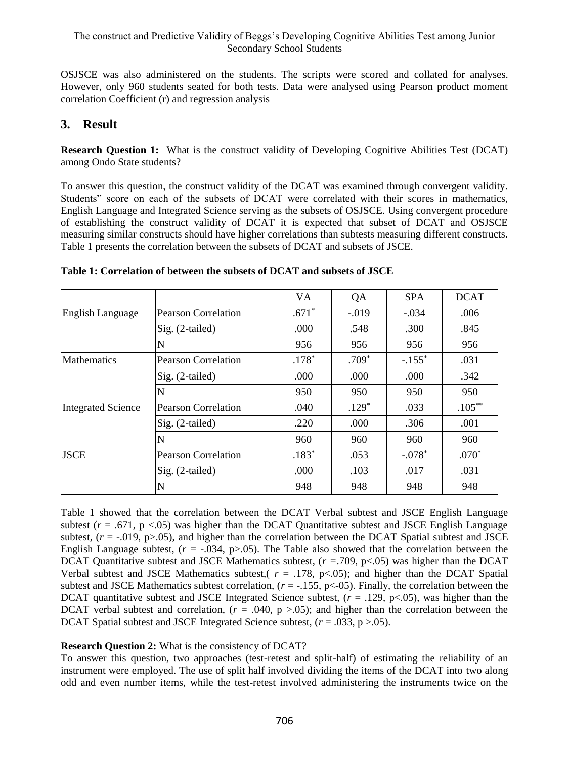OSJSCE was also administered on the students. The scripts were scored and collated for analyses. However, only 960 students seated for both tests. Data were analysed using Pearson product moment correlation Coefficient (r) and regression analysis

# **3. Result**

**Research Question 1:** What is the construct validity of Developing Cognitive Abilities Test (DCAT) among Ondo State students?

To answer this question, the construct validity of the DCAT was examined through convergent validity. Students" score on each of the subsets of DCAT were correlated with their scores in mathematics, English Language and Integrated Science serving as the subsets of OSJSCE. Using convergent procedure of establishing the construct validity of DCAT it is expected that subset of DCAT and OSJSCE measuring similar constructs should have higher correlations than subtests measuring different constructs. Table 1 presents the correlation between the subsets of DCAT and subsets of JSCE.

|                           |                            | VA.     | QA      | <b>SPA</b>           | <b>DCAT</b> |
|---------------------------|----------------------------|---------|---------|----------------------|-------------|
| <b>English Language</b>   | <b>Pearson Correlation</b> | $.671*$ | $-.019$ | $-.034$              | .006        |
|                           | $Sig. (2-tailed)$          | .000    | .548    | .300                 | .845        |
|                           | N                          | 956     | 956     | 956                  | 956         |
| <b>Mathematics</b>        | <b>Pearson Correlation</b> | $.178*$ | $.709*$ | $-.155$ <sup>*</sup> | .031        |
|                           | $Sig. (2-tailed)$          | .000    | .000    | .000                 | .342        |
|                           | N                          | 950     | 950     | 950                  | 950         |
| <b>Integrated Science</b> | <b>Pearson Correlation</b> | .040    | $.129*$ | .033                 | $.105***$   |
|                           | Sig. (2-tailed)            | .220    | .000    | .306                 | .001        |
|                           | N                          | 960     | 960     | 960                  | 960         |
| <b>JSCE</b>               | <b>Pearson Correlation</b> | $.183*$ | .053    | $-.078*$             | $.070*$     |
|                           | $Sig. (2-tailed)$          | .000    | .103    | .017                 | .031        |
|                           | N                          | 948     | 948     | 948                  | 948         |

Table 1 showed that the correlation between the DCAT Verbal subtest and JSCE English Language subtest  $(r = .671, p < .05)$  was higher than the DCAT Quantitative subtest and JSCE English Language subtest,  $(r = -0.019, p > 0.05)$ , and higher than the correlation between the DCAT Spatial subtest and JSCE English Language subtest,  $(r = -0.034, p > 0.05)$ . The Table also showed that the correlation between the DCAT Quantitative subtest and JSCE Mathematics subtest, (*r =*.709, p<.05) was higher than the DCAT Verbal subtest and JSCE Mathematics subtest,( $r = .178$ ,  $p < .05$ ); and higher than the DCAT Spatial subtest and JSCE Mathematics subtest correlation,  $(r = -155, p < 05)$ . Finally, the correlation between the DCAT quantitative subtest and JSCE Integrated Science subtest,  $(r = .129, p < .05)$ , was higher than the DCAT verbal subtest and correlation,  $(r = .040, p > .05)$ ; and higher than the correlation between the DCAT Spatial subtest and JSCE Integrated Science subtest, (*r* = .033, p >.05).

### **Research Question 2:** What is the consistency of DCAT?

To answer this question, two approaches (test-retest and split-half) of estimating the reliability of an instrument were employed. The use of split half involved dividing the items of the DCAT into two along odd and even number items, while the test-retest involved administering the instruments twice on the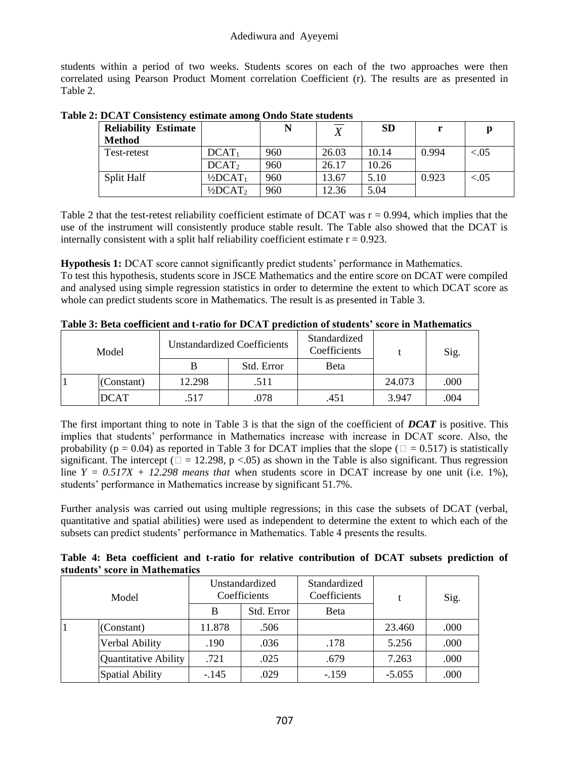students within a period of two weeks. Students scores on each of the two approaches were then correlated using Pearson Product Moment correlation Coefficient (r). The results are as presented in Table 2.

| <b>Reliability Estimate</b> |                                 | N   | <b>T</b> | <b>SD</b> |       | р         |
|-----------------------------|---------------------------------|-----|----------|-----------|-------|-----------|
| <b>Method</b>               |                                 |     |          |           |       |           |
| Test-retest                 | $DCAT_1$                        | 960 | 26.03    | 10.14     | 0.994 | ${<}0.05$ |
|                             | DCAT <sub>2</sub>               | 960 | 26.17    | 10.26     |       |           |
| Split Half                  | $1/2DCAT_1$                     | 960 | 13.67    | 5.10      | 0.923 | $-.05$    |
|                             | $\frac{1}{2}$ DCAT <sub>2</sub> | 960 | 12.36    | 5.04      |       |           |

**Table 2: DCAT Consistency estimate among Ondo State students**

Table 2 that the test-retest reliability coefficient estimate of DCAT was  $r = 0.994$ , which implies that the use of the instrument will consistently produce stable result. The Table also showed that the DCAT is internally consistent with a split half reliability coefficient estimate  $r = 0.923$ .

**Hypothesis 1:** DCAT score cannot significantly predict students' performance in Mathematics.

To test this hypothesis, students score in JSCE Mathematics and the entire score on DCAT were compiled and analysed using simple regression statistics in order to determine the extent to which DCAT score as whole can predict students score in Mathematics. The result is as presented in Table 3.

| Model |             |        | <b>Unstandardized Coefficients</b> | Standardized<br>Coefficients |        | Sig. |
|-------|-------------|--------|------------------------------------|------------------------------|--------|------|
|       |             |        | Std. Error                         | Beta                         |        |      |
|       | (Constant)  | 12.298 | .511                               |                              | 24.073 | .000 |
|       | <b>DCAT</b> | .517   | .078                               | .451                         | 3.947  | .004 |

**Table 3: Beta coefficient and t-ratio for DCAT prediction of students' score in Mathematics**

The first important thing to note in Table 3 is that the sign of the coefficient of *DCAT* is positive. This implies that students' performance in Mathematics increase with increase in DCAT score. Also, the probability ( $p = 0.04$ ) as reported in Table 3 for DCAT implies that the slope ( $\Box = 0.517$ ) is statistically significant. The intercept ( $\Box = 12.298$ , p <.05) as shown in the Table is also significant. Thus regression line  $Y = 0.517X + 12.298$  means that when students score in DCAT increase by one unit (i.e. 1%), students' performance in Mathematics increase by significant 51.7%.

Further analysis was carried out using multiple regressions; in this case the subsets of DCAT (verbal, quantitative and spatial abilities) were used as independent to determine the extent to which each of the subsets can predict students' performance in Mathematics. Table 4 presents the results.

|  |                                |  |  | Table 4: Beta coefficient and t-ratio for relative contribution of DCAT subsets prediction of |  |  |  |
|--|--------------------------------|--|--|-----------------------------------------------------------------------------------------------|--|--|--|
|  | students' score in Mathematics |  |  |                                                                                               |  |  |  |

| Model |                      |         | Unstandardized<br>Coefficients | Standardized<br>Coefficients |          | Sig. |
|-------|----------------------|---------|--------------------------------|------------------------------|----------|------|
|       |                      | B       | Std. Error                     | Beta                         |          |      |
|       | (Constant)           | 11.878  | .506                           |                              | 23.460   | .000 |
|       | Verbal Ability       | .190    | .036                           | .178                         | 5.256    | .000 |
|       | Quantitative Ability | .721    | .025                           | .679                         | 7.263    | .000 |
|       | Spatial Ability      | $-.145$ | .029                           | $-.159$                      | $-5.055$ | .000 |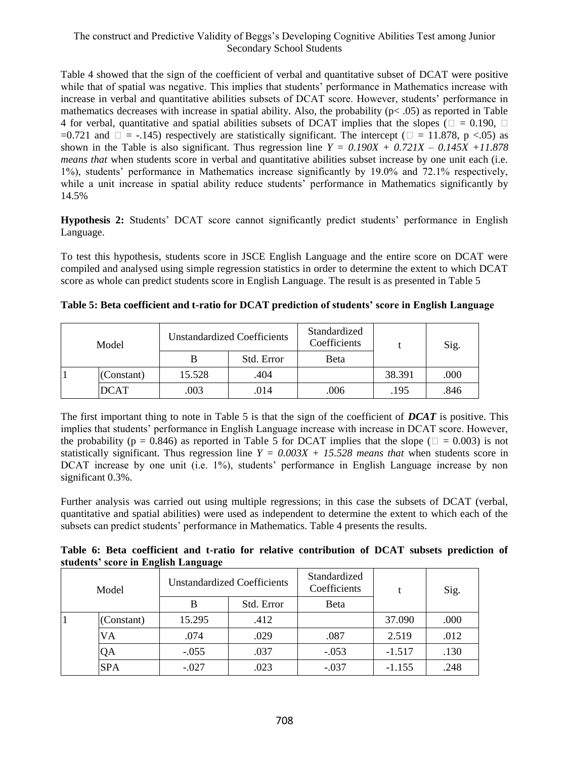Table 4 showed that the sign of the coefficient of verbal and quantitative subset of DCAT were positive while that of spatial was negative. This implies that students' performance in Mathematics increase with increase in verbal and quantitative abilities subsets of DCAT score. However, students' performance in mathematics decreases with increase in spatial ability. Also, the probability ( $p < .05$ ) as reported in Table 4 for verbal, quantitative and spatial abilities subsets of DCAT implies that the slopes ( $\Box = 0.190$ ,  $\Box$ ) =0.721 and  $\square$  = -.145) respectively are statistically significant. The intercept ( $\square$  = 11.878, p <.05) as shown in the Table is also significant. Thus regression line  $Y = 0.190X + 0.721X - 0.145X + 11.878$ *means that* when students score in verbal and quantitative abilities subset increase by one unit each (i.e. 1%), students' performance in Mathematics increase significantly by 19.0% and 72.1% respectively, while a unit increase in spatial ability reduce students' performance in Mathematics significantly by 14.5%

**Hypothesis 2:** Students' DCAT score cannot significantly predict students' performance in English Language.

To test this hypothesis, students score in JSCE English Language and the entire score on DCAT were compiled and analysed using simple regression statistics in order to determine the extent to which DCAT score as whole can predict students score in English Language. The result is as presented in Table 5

| Model |             |        | Unstandardized Coefficients | Standardized<br>Coefficients |        | Sig. |
|-------|-------------|--------|-----------------------------|------------------------------|--------|------|
|       |             |        | Std. Error                  | Beta                         |        |      |
|       | (Constant)  | 15.528 | .404                        |                              | 38.391 | .000 |
|       | <b>DCAT</b> | 003    | .014                        | .006                         | .195   | .846 |

**Table 5: Beta coefficient and t-ratio for DCAT prediction of students' score in English Language**

The first important thing to note in Table 5 is that the sign of the coefficient of *DCAT* is positive. This implies that students' performance in English Language increase with increase in DCAT score. However, the probability (p = 0.846) as reported in Table 5 for DCAT implies that the slope ( $\Box$  = 0.003) is not statistically significant. Thus regression line  $Y = 0.003X + 15.528$  means that when students score in DCAT increase by one unit (i.e. 1%), students' performance in English Language increase by non significant 0.3%.

Further analysis was carried out using multiple regressions; in this case the subsets of DCAT (verbal, quantitative and spatial abilities) were used as independent to determine the extent to which each of the subsets can predict students' performance in Mathematics. Table 4 presents the results.

|  |                                     |  |  | Table 6: Beta coefficient and t-ratio for relative contribution of DCAT subsets prediction of |  |  |  |
|--|-------------------------------------|--|--|-----------------------------------------------------------------------------------------------|--|--|--|
|  | students' score in English Language |  |  |                                                                                               |  |  |  |

| Model |            | Unstandardized Coefficients |            | Standardized<br>Coefficients |          | Sig. |
|-------|------------|-----------------------------|------------|------------------------------|----------|------|
|       |            | B                           | Std. Error | <b>B</b> eta                 |          |      |
|       | (Constant) | 15.295                      | .412       |                              | 37.090   | .000 |
|       | VA         | .074                        | .029       | .087                         | 2.519    | .012 |
|       | QA         | $-.055$                     | .037       | $-.053$                      | $-1.517$ | .130 |
|       | <b>SPA</b> | $-.027$                     | .023       | $-.037$                      | $-1.155$ | .248 |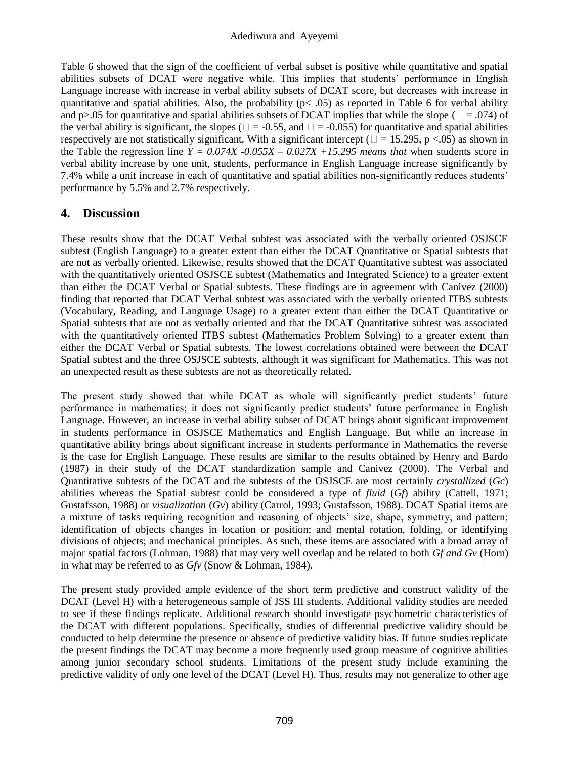#### Adediwura and Ayeyemi

Table 6 showed that the sign of the coefficient of verbal subset is positive while quantitative and spatial abilities subsets of DCAT were negative while. This implies that students' performance in English Language increase with increase in verbal ability subsets of DCAT score, but decreases with increase in quantitative and spatial abilities. Also, the probability ( $p < .05$ ) as reported in Table 6 for verbal ability and p>.05 for quantitative and spatial abilities subsets of DCAT implies that while the slope ( $\square = .074$ ) of the verbal ability is significant, the slopes ( $\square = -0.55$ , and  $\square = -0.055$ ) for quantitative and spatial abilities respectively are not statistically significant. With a significant intercept ( $\Box$  = 15.295, p <.05) as shown in the Table the regression line  $Y = 0.074X -0.055X -0.027X +15.295$  means that when students score in verbal ability increase by one unit, students, performance in English Language increase significantly by 7.4% while a unit increase in each of quantitative and spatial abilities non-significantly reduces students' performance by 5.5% and 2.7% respectively.

# **4. Discussion**

These results show that the DCAT Verbal subtest was associated with the verbally oriented OSJSCE subtest (English Language) to a greater extent than either the DCAT Quantitative or Spatial subtests that are not as verbally oriented. Likewise, results showed that the DCAT Quantitative subtest was associated with the quantitatively oriented OSJSCE subtest (Mathematics and Integrated Science) to a greater extent than either the DCAT Verbal or Spatial subtests. These findings are in agreement with Canivez (2000) finding that reported that DCAT Verbal subtest was associated with the verbally oriented ITBS subtests (Vocabulary, Reading, and Language Usage) to a greater extent than either the DCAT Quantitative or Spatial subtests that are not as verbally oriented and that the DCAT Quantitative subtest was associated with the quantitatively oriented ITBS subtest (Mathematics Problem Solving) to a greater extent than either the DCAT Verbal or Spatial subtests. The lowest correlations obtained were between the DCAT Spatial subtest and the three OSJSCE subtests, although it was significant for Mathematics. This was not an unexpected result as these subtests are not as theoretically related.

The present study showed that while DCAT as whole will significantly predict students' future performance in mathematics; it does not significantly predict students' future performance in English Language. However, an increase in verbal ability subset of DCAT brings about significant improvement in students performance in OSJSCE Mathematics and English Language. But while an increase in quantitative ability brings about significant increase in students performance in Mathematics the reverse is the case for English Language. These results are similar to the results obtained by Henry and Bardo (1987) in their study of the DCAT standardization sample and Canivez (2000). The Verbal and Quantitative subtests of the DCAT and the subtests of the OSJSCE are most certainly *crystallized* (*Gc*) abilities whereas the Spatial subtest could be considered a type of *fluid* (*Gf*) ability (Cattell, 1971; Gustafsson, 1988) or *visualization* (*Gv*) ability (Carrol, 1993; Gustafsson, 1988). DCAT Spatial items are a mixture of tasks requiring recognition and reasoning of objects' size, shape, symmetry, and pattern; identification of objects changes in location or position; and mental rotation, folding, or identifying divisions of objects; and mechanical principles. As such, these items are associated with a broad array of major spatial factors (Lohman, 1988) that may very well overlap and be related to both *Gf and Gv* (Horn) in what may be referred to as *Gfv* (Snow & Lohman, 1984).

The present study provided ample evidence of the short term predictive and construct validity of the DCAT (Level H) with a heterogeneous sample of JSS III students. Additional validity studies are needed to see if these findings replicate. Additional research should investigate psychometric characteristics of the DCAT with different populations. Specifically, studies of differential predictive validity should be conducted to help determine the presence or absence of predictive validity bias. If future studies replicate the present findings the DCAT may become a more frequently used group measure of cognitive abilities among junior secondary school students. Limitations of the present study include examining the predictive validity of only one level of the DCAT (Level H). Thus, results may not generalize to other age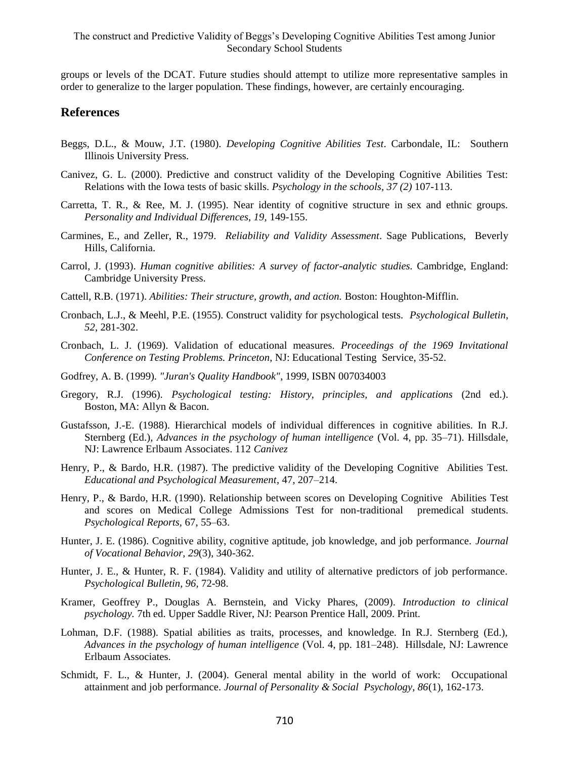groups or levels of the DCAT. Future studies should attempt to utilize more representative samples in order to generalize to the larger population. These findings, however, are certainly encouraging.

### **References**

- Beggs, D.L., & Mouw, J.T. (1980). *Developing Cognitive Abilities Test*. Carbondale, IL: Southern Illinois University Press.
- Canivez, G. L. (2000). Predictive and construct validity of the Developing Cognitive Abilities Test: Relations with the Iowa tests of basic skills. *Psychology in the schools, 37 (2)* 107-113.
- Carretta, T. R., & Ree, M. J. (1995). Near identity of cognitive structure in sex and ethnic groups. *Personality and Individual Differences, 19,* 149-155.
- Carmines, E., and Zeller, R., 1979. *Reliability and Validity Assessment*. Sage Publications, Beverly Hills, California.
- Carrol, J. (1993). *Human cognitive abilities: A survey of factor-analytic studies.* Cambridge, England: Cambridge University Press.
- Cattell, R.B. (1971). *Abilities: Their structure, growth, and action.* Boston: Houghton-Mifflin.
- Cronbach, L.J., & Meehl, P.E. (1955). Construct validity for psychological tests. *Psychological Bulletin*, *52*, 281-302.
- Cronbach, L. J. (1969). Validation of educational measures. *Proceedings of the 1969 Invitational Conference on Testing Problems. Princeton*, NJ: Educational Testing Service, 35-52.
- Godfrey, A. B. (1999). *"Juran's Quality Handbook"*, 1999, ISBN 007034003
- Gregory, R.J. (1996). *Psychological testing: History, principles, and applications* (2nd ed.). Boston, MA: Allyn & Bacon.
- Gustafsson, J.-E. (1988). Hierarchical models of individual differences in cognitive abilities. In R.J. Sternberg (Ed.), *Advances in the psychology of human intelligence* (Vol. 4, pp. 35–71). Hillsdale, NJ: Lawrence Erlbaum Associates. 112 *Canivez*
- Henry, P., & Bardo, H.R. (1987). The predictive validity of the Developing Cognitive Abilities Test. *Educational and Psychological Measurement*, 47, 207–214.
- Henry, P., & Bardo, H.R. (1990). Relationship between scores on Developing Cognitive Abilities Test and scores on Medical College Admissions Test for non-traditional premedical students. *Psychological Reports,* 67, 55–63.
- Hunter, J. E. (1986). Cognitive ability, cognitive aptitude, job knowledge, and job performance. *Journal of Vocational Behavior, 29*(3), 340-362.
- Hunter, J. E., & Hunter, R. F. (1984). Validity and utility of alternative predictors of job performance. *Psychological Bulletin, 96,* 72-98.
- Kramer, Geoffrey P., Douglas A. Bernstein, and Vicky Phares, (2009). *Introduction to clinical psychology.* 7th ed. Upper Saddle River, NJ: Pearson Prentice Hall, 2009. Print.
- Lohman, D.F. (1988). Spatial abilities as traits, processes, and knowledge. In R.J. Sternberg (Ed.), *Advances in the psychology of human intelligence* (Vol. 4, pp. 181–248). Hillsdale, NJ: Lawrence Erlbaum Associates.
- Schmidt, F. L., & Hunter, J. (2004). General mental ability in the world of work: Occupational attainment and job performance. *Journal of Personality & Social Psychology, 86*(1), 162-173.